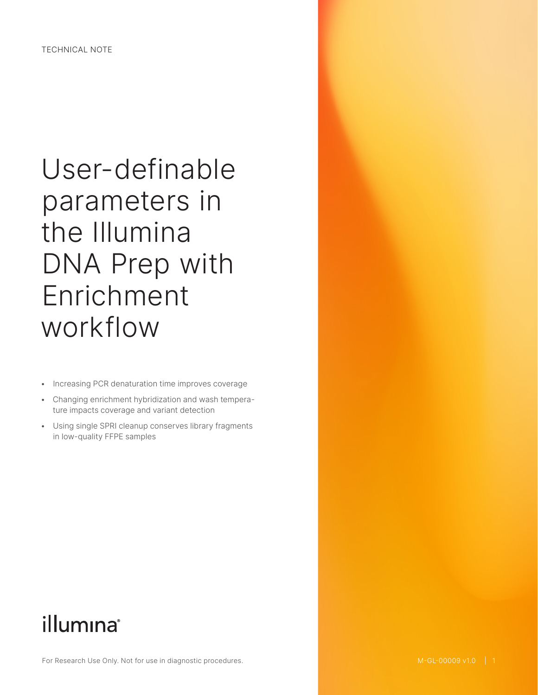# User-definable parameters in the Illumina DNA Prep with Enrichment workflow

- Increasing PCR denaturation time improves coverage
- Changing enrichment hybridization and wash temperature impacts coverage and variant detection
- Using single SPRI cleanup conserves library fragments in low-quality FFPE samples

# illumına®

For Research Use Only. Not for use in diagnostic procedures.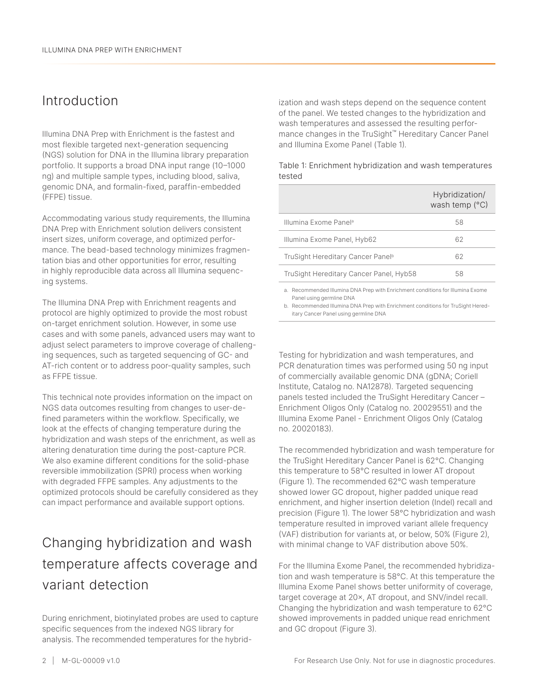### Introduction

Illumina DNA Prep with Enrichment is the fastest and most flexible targeted next-generation sequencing (NGS) solution for DNA in the Illumina library preparation portfolio. It supports a broad DNA input range (10–1000 ng) and multiple sample types, including blood, saliva, genomic DNA, and formalin-fixed, paraffin-embedded (FFPE) tissue.

Accommodating various study requirements, the Illumina DNA Prep with Enrichment solution delivers consistent insert sizes, uniform coverage, and optimized performance. The bead-based technology minimizes fragmentation bias and other opportunities for error, resulting in highly reproducible data across all Illumina sequencing systems.

The Illumina DNA Prep with Enrichment reagents and protocol are highly optimized to provide the most robust on-target enrichment solution. However, in some use cases and with some panels, advanced users may want to adjust select parameters to improve coverage of challenging sequences, such as targeted sequencing of GC- and AT-rich content or to address poor-quality samples, such as FFPE tissue.

This technical note provides information on the impact on NGS data outcomes resulting from changes to user-defined parameters within the workflow. Specifically, we look at the effects of changing temperature during the hybridization and wash steps of the enrichment, as well as altering denaturation time during the post-capture PCR. We also examine different conditions for the solid-phase reversible immobilization (SPRI) process when working with degraded FFPE samples. Any adjustments to the optimized protocols should be carefully considered as they can impact performance and available support options.

# Changing hybridization and wash temperature affects coverage and variant detection

During enrichment, biotinylated probes are used to capture specific sequences from the indexed NGS library for analysis. The recommended temperatures for the hybridization and wash steps depend on the sequence content of the panel. We tested changes to the hybridization and wash temperatures and assessed the resulting performance changes in the TruSight™ Hereditary Cancer Panel and Illumina Exome Panel ([Table 1](#page-1-0)).

|                                               | Hybridization/<br>wash temp $(°C)$ |
|-----------------------------------------------|------------------------------------|
| Illumina Exome Panel <sup>a</sup>             | 58                                 |
| Illumina Exome Panel, Hyb62                   | 62                                 |
| TruSight Hereditary Cancer Panel <sup>b</sup> | 62                                 |
| TruSight Hereditary Cancer Panel, Hyb58       | 58                                 |
|                                               |                                    |

<span id="page-1-0"></span>Table 1: Enrichment hybridization and wash temperatures tested

a. Recommended Illumina DNA Prep with Enrichment conditions for Illumina Exome Panel using germline DNA

b. Recommended Illumina DNA Prep with Enrichment conditions for TruSight Hereditary Cancer Panel using germline DNA

Testing for hybridization and wash temperatures, and PCR denaturation times was performed using 50 ng input of commercially available genomic DNA (gDNA; Coriell Institute, Catalog no. NA12878). Targeted sequencing panels tested included the TruSight Hereditary Cancer – Enrichment Oligos Only (Catalog no. 20029551) and the Illumina Exome Panel - Enrichment Oligos Only (Catalog no. 20020183).

The recommended hybridization and wash temperature for the TruSight Hereditary Cancer Panel is 62°C. Changing this temperature to 58°C resulted in lower AT dropout ([Figure 1](#page-2-0)). The recommended 62°C wash temperature showed lower GC dropout, higher padded unique read enrichment, and higher insertion deletion (Indel) recall and precision ([Figure 1](#page-2-0)). The lower 58°C hybridization and wash temperature resulted in improved variant allele frequency (VAF) distribution for variants at, or below, 50% ([Figure 2](#page-2-1)), with minimal change to VAF distribution above 50%.

For the Illumina Exome Panel, the recommended hybridization and wash temperature is 58°C. At this temperature the Illumina Exome Panel shows better uniformity of coverage, target coverage at 20×, AT dropout, and SNV/indel recall. Changing the hybridization and wash temperature to 62°C showed improvements in padded unique read enrichment and GC dropout ([Figure 3\)](#page-3-0).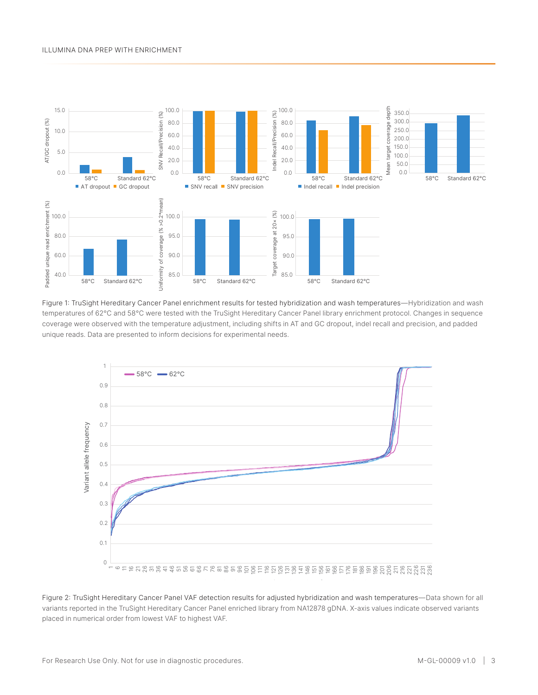#### Illumina DNA Prep with Enrichment



<span id="page-2-0"></span>Figure 1: TruSight Hereditary Cancer Panel enrichment results for tested hybridization and wash temperatures—Hybridization and wash temperatures of 62°C and 58°C were tested with the TruSight Hereditary Cancer Panel library enrichment protocol. Changes in sequence coverage were observed with the temperature adjustment, including shifts in AT and GC dropout, indel recall and precision, and padded unique reads. Data are presented to inform decisions for experimental needs.



<span id="page-2-1"></span>Figure 2: TruSight Hereditary Cancer Panel VAF detection results for adjusted hybridization and wash temperatures—Data shown for all variants reported in the TruSight Hereditary Cancer Panel enriched library from NA12878 gDNA. X-axis values indicate observed variants placed in numerical order from lowest VAF to highest VAF.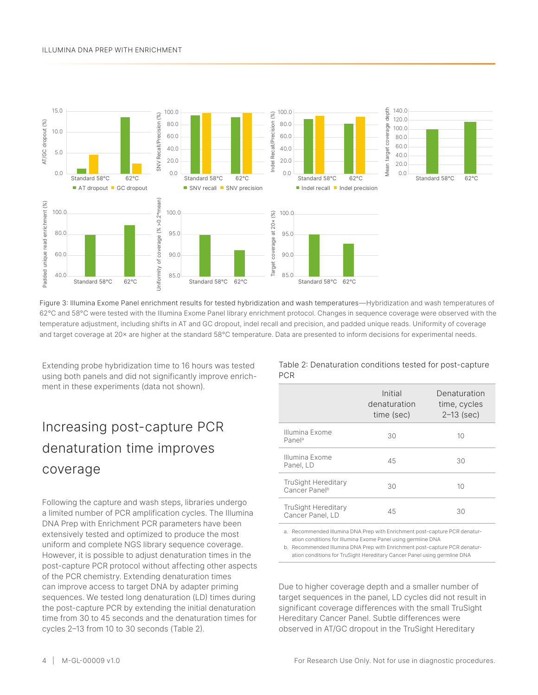#### Illumina DNA Prep with Enrichment



<span id="page-3-0"></span>Figure 3: Illumina Exome Panel enrichment results for tested hybridization and wash temperatures—Hybridization and wash temperatures of 62°C and 58°C were tested with the Illumina Exome Panel library enrichment protocol. Changes in sequence coverage were observed with the temperature adjustment, including shifts in AT and GC dropout, indel recall and precision, and padded unique reads. Uniformity of coverage and target coverage at 20x are higher at the standard 58°C temperature. Data are presented to inform decisions for experimental needs.

Extending probe hybridization time to 16 hours was tested using both panels and did not significantly improve enrichment in these experiments (data not shown).

# Increasing post-capture PCR denaturation time improves coverage

Following the capture and wash steps, libraries undergo a limited number of PCR amplification cycles. The Illumina DNA Prep with Enrichment PCR parameters have been extensively tested and optimized to produce the most uniform and complete NGS library sequence coverage. However, it is possible to adjust denaturation times in the post-capture PCR protocol without affecting other aspects of the PCR chemistry. Extending denaturation times can improve access to target DNA by adapter priming sequences. We tested long denaturation (LD) times during the post-capture PCR by extending the initial denaturation time from 30 to 45 seconds and the denaturation times for cycles 2–13 from 10 to 30 seconds ([Table 2](#page-3-1)).

<span id="page-3-1"></span>Table 2: Denaturation conditions tested for post-capture PCR

|                                                         | Initial<br>denaturation<br>time (sec) | Denaturation<br>time, cycles<br>$2-13$ (sec) |
|---------------------------------------------------------|---------------------------------------|----------------------------------------------|
| Illumina Exome<br>Panela                                | 30                                    | 10                                           |
| Illumina Exome<br>Panel, LD                             | 45                                    | 30                                           |
| <b>TruSight Hereditary</b><br>Cancer Panel <sup>b</sup> | 30                                    | 10                                           |
| <b>TruSight Hereditary</b><br>Cancer Panel, LD          | 45                                    | 30                                           |

a. Recommended Illumina DNA Prep with Enrichment post-capture PCR denaturation conditions for Illumina Exome Panel using germline DNA

b. Recommended Illumina DNA Prep with Enrichment post-capture PCR denaturation conditions for TruSight Hereditary Cancer Panel using germline DNA

Due to higher coverage depth and a smaller number of target sequences in the panel, LD cycles did not result in significant coverage differences with the small TruSight Hereditary Cancer Panel. Subtle differences were observed in AT/GC dropout in the TruSight Hereditary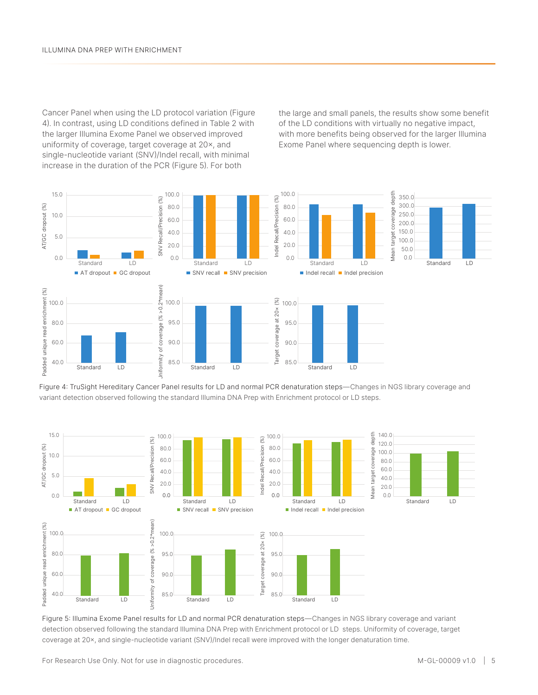Cancer Panel when using the LD protocol variation ([Figure](#page-4-0)  [4](#page-4-0)). In contrast, using LD conditions defined in [Table 2](#page-3-1) with the larger Illumina Exome Panel we observed improved uniformity of coverage, target coverage at 20×, and single-nucleotide variant (SNV)/Indel recall, with minimal increase in the duration of the PCR ([Figure 5](#page-4-1)). For both

the large and small panels, the results show some benefit of the LD conditions with virtually no negative impact, with more benefits being observed for the larger Illumina Exome Panel where sequencing depth is lower.



<span id="page-4-0"></span>Figure 4: TruSight Hereditary Cancer Panel results for LD and normal PCR denaturation steps—Changes in NGS library coverage and variant detection observed following the standard Illumina DNA Prep with Enrichment protocol or LD steps.



<span id="page-4-1"></span>Figure 5: Illumina Exome Panel results for LD and normal PCR denaturation steps—Changes in NGS library coverage and variant detection observed following the standard Illumina DNA Prep with Enrichment protocol or LD steps. Uniformity of coverage, target coverage at 20×, and single-nucleotide variant (SNV)/Indel recall were improved with the longer denaturation time.

For Research Use Only. Not for use in diagnostic procedures. M-GL-00009 v1.0 | 5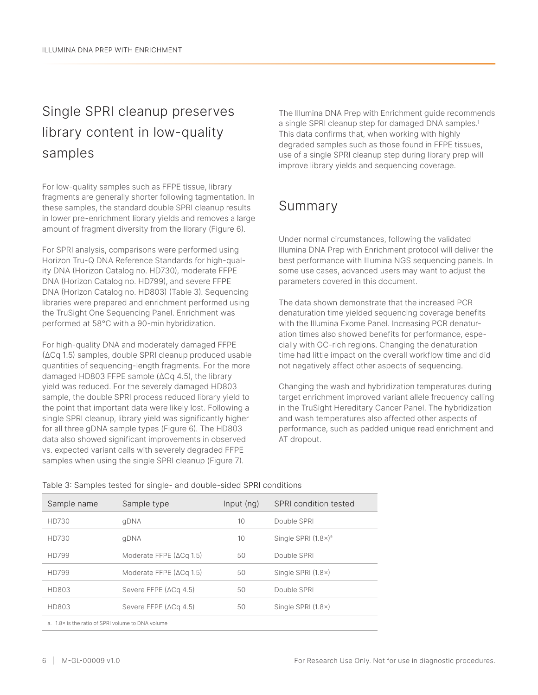## Single SPRI cleanup preserves library content in low-quality samples

For low-quality samples such as FFPE tissue, library fragments are generally shorter following tagmentation. In these samples, the standard double SPRI cleanup results in lower pre-enrichment library yields and removes a large amount of fragment diversity from the library ([Figure 6](#page-6-0)).

For SPRI analysis, comparisons were performed using Horizon Tru-Q DNA Reference Standards for high-quality DNA (Horizon Catalog no. HD730), moderate FFPE DNA (Horizon Catalog no. HD799), and severe FFPE DNA (Horizon Catalog no. HD803) [\(Table 3](#page-5-0)). Sequencing libraries were prepared and enrichment performed using the TruSight One Sequencing Panel. Enrichment was performed at 58°C with a 90-min hybridization.

For high-quality DNA and moderately damaged FFPE (ΔCq 1.5) samples, double SPRI cleanup produced usable quantities of sequencing-length fragments. For the more damaged HD803 FFPE sample (ΔCq 4.5), the library yield was reduced. For the severely damaged HD803 sample, the double SPRI process reduced library yield to the point that important data were likely lost. Following a single SPRI cleanup, library yield was significantly higher for all three gDNA sample types ([Figure 6](#page-6-0)). The HD803 data also showed significant improvements in observed vs. expected variant calls with severely degraded FFPE samples when using the single SPRI cleanup (Figure 7).

The Illumina DNA Prep with Enrichment guide recommends a single SPRI cleanup step for damaged DNA samples.<sup>[1](#page-7-0)</sup> This data confirms that, when working with highly degraded samples such as those found in FFPE tissues, use of a single SPRI cleanup step during library prep will improve library yields and sequencing coverage.

## Summary

Under normal circumstances, following the validated Illumina DNA Prep with Enrichment protocol will deliver the best performance with Illumina NGS sequencing panels. In some use cases, advanced users may want to adjust the parameters covered in this document.

The data shown demonstrate that the increased PCR denaturation time yielded sequencing coverage benefits with the Illumina Exome Panel. Increasing PCR denaturation times also showed benefits for performance, especially with GC-rich regions. Changing the denaturation time had little impact on the overall workflow time and did not negatively affect other aspects of sequencing.

Changing the wash and hybridization temperatures during target enrichment improved variant allele frequency calling in the TruSight Hereditary Cancer Panel. The hybridization and wash temperatures also affected other aspects of performance, such as padded unique read enrichment and AT dropout.

| Sample name                                       | Sample type                     | Input (ng) | SPRI condition tested       |  |
|---------------------------------------------------|---------------------------------|------------|-----------------------------|--|
| HD730                                             | qDNA                            | 10         | Double SPRI                 |  |
| HD730                                             | qDNA                            | 10         | Single SPRI $(1.8\times)^a$ |  |
| HD799                                             | Moderate FFPE $(\Delta Cq 1.5)$ | 50         | Double SPRI                 |  |
| HD799                                             | Moderate FFPE $(\Delta Cq 1.5)$ | 50         | Single SPRI $(1.8\times)$   |  |
| HD803                                             | Severe FFPE $(\Delta Cq 4.5)$   | 50         | Double SPRI                 |  |
| HD803                                             | Severe FFPE $(\Delta Cq 4.5)$   | 50         | Single SPRI $(1.8\times)$   |  |
| a. 1.8× is the ratio of SPRI volume to DNA volume |                                 |            |                             |  |

<span id="page-5-0"></span>Table 3: Samples tested for single- and double-sided SPRI conditions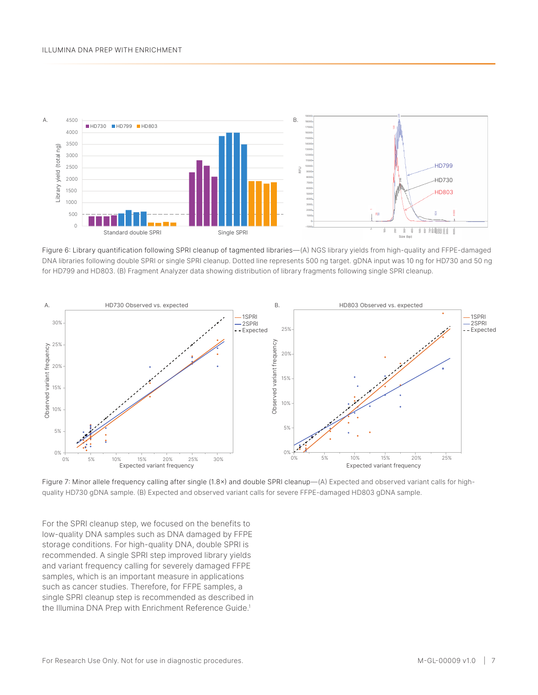

<span id="page-6-0"></span>Figure 6: Library quantification following SPRI cleanup of tagmented libraries—(A) NGS library yields from high-quality and FFPE-damaged DNA libraries following double SPRI or single SPRI cleanup. Dotted line represents 500 ng target. gDNA input was 10 ng for HD730 and 50 ng for HD799 and HD803. (B) Fragment Analyzer data showing distribution of library fragments following single SPRI cleanup.



Figure 7: Minor allele frequency calling after single (1.8×) and double SPRI cleanup—(A) Expected and observed variant calls for highquality HD730 gDNA sample. (B) Expected and observed variant calls for severe FFPE-damaged HD803 gDNA sample.

For the SPRI cleanup step, we focused on the benefits to low-quality DNA samples such as DNA damaged by FFPE storage conditions. For high-quality DNA, double SPRI is recommended. A single SPRI step improved library yields and variant frequency calling for severely damaged FFPE samples, which is an important measure in applications such as cancer studies. Therefore, for FFPE samples, a single SPRI cleanup step is recommended as described in the Illumina DNA Prep with Enrichment Reference Guide.<sup>[1](#page-7-0)</sup>